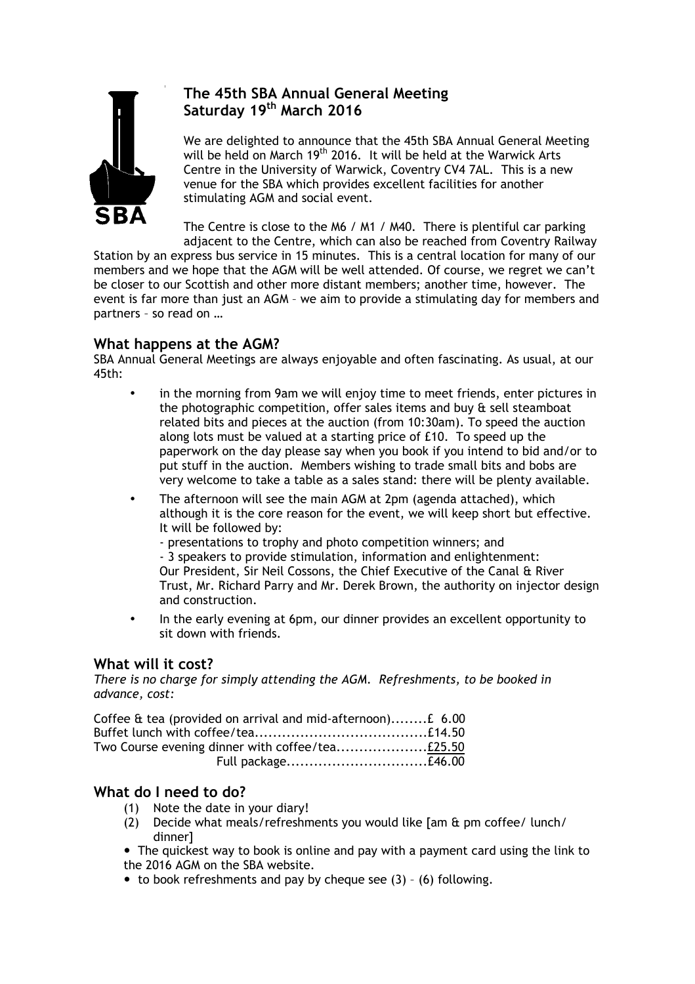

# **The 45th SBA Annual General Meeting Saturday 19th March 2016**

We are delighted to announce that the 45th SBA Annual General Meeting will be held on March  $19<sup>th</sup>$  2016. It will be held at the Warwick Arts Centre in the University of Warwick, Coventry CV4 7AL. This is a new venue for the SBA which provides excellent facilities for another stimulating AGM and social event.

The Centre is close to the M6 / M1 / M40. There is plentiful car parking adjacent to the Centre, which can also be reached from Coventry Railway

Station by an express bus service in 15 minutes. This is a central location for many of our members and we hope that the AGM will be well attended. Of course, we regret we can't be closer to our Scottish and other more distant members; another time, however. The event is far more than just an AGM – we aim to provide a stimulating day for members and partners – so read on …

### **What happens at the AGM?**

SBA Annual General Meetings are always enjoyable and often fascinating. As usual, at our 45th:

- in the morning from 9am we will enjoy time to meet friends, enter pictures in the photographic competition, offer sales items and buy & sell steamboat related bits and pieces at the auction (from 10:30am). To speed the auction along lots must be valued at a starting price of £10. To speed up the paperwork on the day please say when you book if you intend to bid and/or to put stuff in the auction. Members wishing to trade small bits and bobs are very welcome to take a table as a sales stand: there will be plenty available.
- The afternoon will see the main AGM at 2pm (agenda attached), which although it is the core reason for the event, we will keep short but effective. It will be followed by:

- presentations to trophy and photo competition winners; and - 3 speakers to provide stimulation, information and enlightenment: Our President, Sir Neil Cossons, the Chief Executive of the Canal & River Trust, Mr. Richard Parry and Mr. Derek Brown, the authority on injector design and construction.

• In the early evening at 6pm, our dinner provides an excellent opportunity to sit down with friends.

# **What will it cost?**

*There is no charge for simply attending the AGM. Refreshments, to be booked in advance, cost:*

| Coffee & tea (provided on arrival and mid-afternoon) £ 6.00 |  |
|-------------------------------------------------------------|--|
|                                                             |  |
|                                                             |  |
|                                                             |  |

# **What do I need to do?**

- (1) Note the date in your diary!
- (2) Decide what meals/refreshments you would like [am & pm coffee/ lunch/ dinner]
- ! The quickest way to book is online and pay with a payment card using the link to the 2016 AGM on the SBA website.
- $\bullet$  to book refreshments and pay by cheque see (3) (6) following.